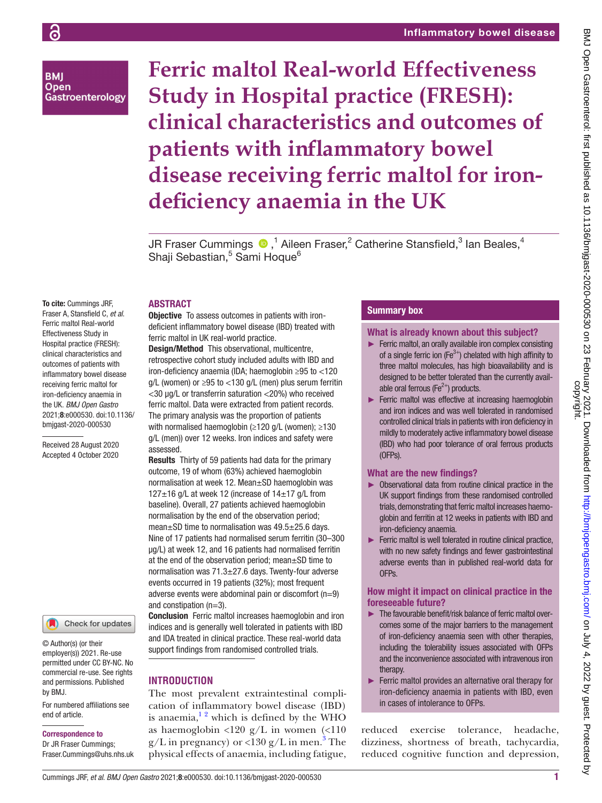**BMI Open** Gastroenterology **Ferric maltol Real-world Effectiveness Study in Hospital practice (FRESH): clinical characteristics and outcomes of patients with inflammatory bowel disease receiving ferric maltol for irondeficiency anaemia in the UK**

JR Fraser Cummings  $\bigcirc$  ,<sup>1</sup> Aileen Fraser,<sup>2</sup> Catherine Stansfield,<sup>3</sup> Ian Beales,<sup>4</sup> Shaji Sebastian,<sup>5</sup> Sami Hoque<sup>6</sup>

# ABSTRACT

**Objective** To assess outcomes in patients with irondeficient inflammatory bowel disease (IBD) treated with ferric maltol in UK real-world practice. Design/Method This observational, multicentre,

retrospective cohort study included adults with IBD and iron-deficiency anaemia (IDA; haemoglobin ≥95 to <120 g/L (women) or  $\geq$ 95 to <130 g/L (men) plus serum ferritin <30 µg/L or transferrin saturation <20%) who received ferric maltol. Data were extracted from patient records. The primary analysis was the proportion of patients with normalised haemoglobin (≥120 g/L (women); ≥130 g/L (men)) over 12 weeks. Iron indices and safety were assessed.

Results Thirty of 59 patients had data for the primary outcome, 19 of whom (63%) achieved haemoglobin normalisation at week 12. Mean±SD haemoglobin was  $127\pm16$  g/L at week 12 (increase of  $14\pm17$  g/L from baseline). Overall, 27 patients achieved haemoglobin normalisation by the end of the observation period; mean±SD time to normalisation was 49.5±25.6 days. Nine of 17 patients had normalised serum ferritin (30–300 µg/L) at week 12, and 16 patients had normalised ferritin at the end of the observation period; mean±SD time to normalisation was 71.3±27.6 days. Twenty-four adverse events occurred in 19 patients (32%); most frequent adverse events were abdominal pain or discomfort (n=9) and constipation (n=3).

Conclusion Ferric maltol increases haemoglobin and iron indices and is generally well tolerated in patients with IBD and IDA treated in clinical practice. These real-world data support findings from randomised controlled trials.

# **INTRODUCTION**

The most prevalent extraintestinal complication of inflammatory bowel disease (IBD) is anaemia, $1<sup>2</sup>$  which is defined by the WHO as haemoglobin  $\langle 120 \text{ g/L} \rangle$  in women  $\langle \langle 110 \rangle$  $g/L$  in pregnancy) or <130  $g/L$  in men.<sup>3</sup> The physical effects of anaemia, including fatigue,

## Summary box

What is already known about this subject?

- ► Ferric maltol, an orally available iron complex consisting of a single ferric ion ( $Fe<sup>3+</sup>$ ) chelated with high affinity to three maltol molecules, has high bioavailability and is designed to be better tolerated than the currently available oral ferrous ( $Fe<sup>2+</sup>$ ) products.
- ► Ferric maltol was effective at increasing haemoglobin and iron indices and was well tolerated in randomised controlled clinical trials in patients with iron deficiency in mildly to moderately active inflammatory bowel disease (IBD) who had poor tolerance of oral ferrous products (OFPs).

## What are the new findings?

- ► Observational data from routine clinical practice in the UK support findings from these randomised controlled trials, demonstrating that ferric maltol increases haemoglobin and ferritin at 12 weeks in patients with IBD and iron-deficiency anaemia.
- ► Ferric maltol is well tolerated in routine clinical practice, with no new safety findings and fewer gastrointestinal adverse events than in published real-world data for OFPs.

## How might it impact on clinical practice in the foreseeable future?

- ► The favourable benefit/risk balance of ferric maltol overcomes some of the major barriers to the management of iron-deficiency anaemia seen with other therapies, including the tolerability issues associated with OFPs and the inconvenience associated with intravenous iron therapy.
- ► Ferric maltol provides an alternative oral therapy for iron-deficiency anaemia in patients with IBD, even in cases of intolerance to OFPs.

reduced exercise tolerance, headache, dizziness, shortness of breath, tachycardia, reduced cognitive function and depression,

To cite: Cummings JRF, Fraser A, Stansfield C, *et al*. Ferric maltol Real-world Effectiveness Study in Hospital practice (FRESH): clinical characteristics and outcomes of patients with inflammatory bowel disease receiving ferric maltol for iron-deficiency anaemia in the UK. *BMJ Open Gastro* 2021;8:e000530. doi:10.1136/ bmjgast-2020-000530

Received 28 August 2020 Accepted 4 October 2020

Check for updates

© Author(s) (or their employer(s)) 2021. Re-use permitted under CC BY-NC. No commercial re-use. See rights and permissions. Published by BMJ.

For numbered affiliations see end of article.

#### Correspondence to

Dr JR Fraser Cummings; Fraser.Cummings@uhs.nhs.uk

्र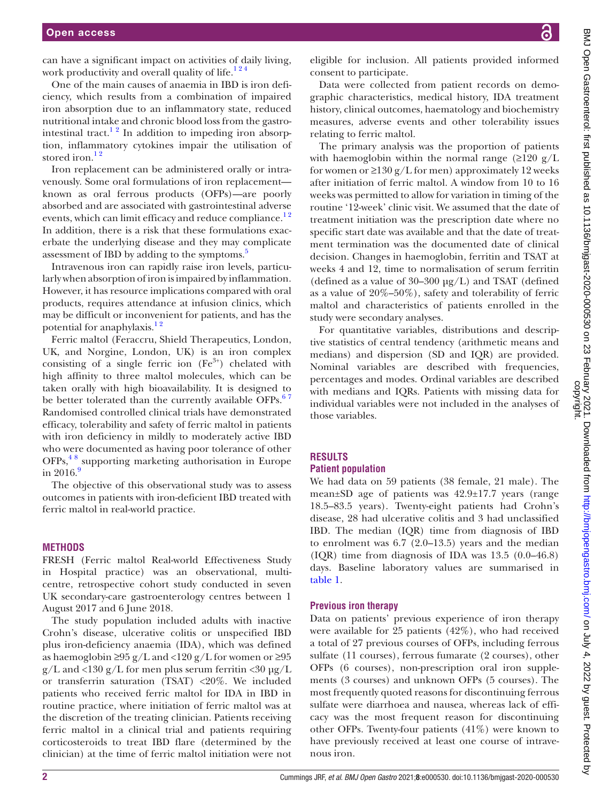can have a significant impact on activities of daily living, work productivity and overall quality of life.<sup>124</sup>

One of the main causes of anaemia in IBD is iron deficiency, which results from a combination of impaired iron absorption due to an inflammatory state, reduced nutritional intake and chronic blood loss from the gastrointestinal tract.<sup>12</sup> In addition to impeding iron absorption, inflammatory cytokines impair the utilisation of stored iron.<sup>12</sup>

Iron replacement can be administered orally or intravenously. Some oral formulations of iron replacement known as oral ferrous products (OFPs)—are poorly absorbed and are associated with gastrointestinal adverse events, which can limit efficacy and reduce compliance.<sup>12</sup> In addition, there is a risk that these formulations exacerbate the underlying disease and they may complicate assessment of IBD by adding to the symptoms.<sup>5</sup>

Intravenous iron can rapidly raise iron levels, particularly when absorption of iron is impaired by inflammation. However, it has resource implications compared with oral products, requires attendance at infusion clinics, which may be difficult or inconvenient for patients, and has the potential for anaphylaxis.<sup>12</sup>

Ferric maltol (Feraccru, Shield Therapeutics, London, UK, and Norgine, London, UK) is an iron complex consisting of a single ferric ion  $(Fe^{3+})$  chelated with high affinity to three maltol molecules, which can be taken orally with high bioavailability. It is designed to be better tolerated than the currently available OFPs.<sup>67</sup> Randomised controlled clinical trials have demonstrated efficacy, tolerability and safety of ferric maltol in patients with iron deficiency in mildly to moderately active IBD who were documented as having poor tolerance of other OFPs,[4 8](#page-4-4) supporting marketing authorisation in Europe in  $2016.9$  $2016.9$ 

The objective of this observational study was to assess outcomes in patients with iron-deficient IBD treated with ferric maltol in real-world practice.

## **METHODS**

FRESH (Ferric maltol Real-world Effectiveness Study in Hospital practice) was an observational, multicentre, retrospective cohort study conducted in seven UK secondary-care gastroenterology centres between 1 August 2017 and 6 June 2018.

The study population included adults with inactive Crohn's disease, ulcerative colitis or unspecified IBD plus iron-deficiency anaemia (IDA), which was defined as haemoglobin ≥95 g/L and <120 g/L for women or ≥95  $g/L$  and <130  $g/L$  for men plus serum ferritin <30  $\mu$ g/L or transferrin saturation (TSAT) <20%. We included patients who received ferric maltol for IDA in IBD in routine practice, where initiation of ferric maltol was at the discretion of the treating clinician. Patients receiving ferric maltol in a clinical trial and patients requiring corticosteroids to treat IBD flare (determined by the clinician) at the time of ferric maltol initiation were not

eligible for inclusion. All patients provided informed consent to participate.

Data were collected from patient records on demographic characteristics, medical history, IDA treatment history, clinical outcomes, haematology and biochemistry measures, adverse events and other tolerability issues relating to ferric maltol.

The primary analysis was the proportion of patients with haemoglobin within the normal range  $(\geq 120 \text{ g/L})$ for women or  $\geq$ 130 g/L for men) approximately 12 weeks after initiation of ferric maltol. A window from 10 to 16 weeks was permitted to allow for variation in timing of the routine '12-week' clinic visit. We assumed that the date of treatment initiation was the prescription date where no specific start date was available and that the date of treatment termination was the documented date of clinical decision. Changes in haemoglobin, ferritin and TSAT at weeks 4 and 12, time to normalisation of serum ferritin (defined as a value of  $30-300 \mu g/L$ ) and TSAT (defined as a value of 20%–50%), safety and tolerability of ferric maltol and characteristics of patients enrolled in the study were secondary analyses.

For quantitative variables, distributions and descriptive statistics of central tendency (arithmetic means and medians) and dispersion (SD and IQR) are provided. Nominal variables are described with frequencies, percentages and modes. Ordinal variables are described with medians and IQRs. Patients with missing data for individual variables were not included in the analyses of those variables.

# **RESULTS**

## **Patient population**

We had data on 59 patients (38 female, 21 male). The mean±SD age of patients was 42.9±17.7 years (range 18.5–83.5 years). Twenty-eight patients had Crohn's disease, 28 had ulcerative colitis and 3 had unclassified IBD. The median (IQR) time from diagnosis of IBD to enrolment was 6.7 (2.0–13.5) years and the median (IQR) time from diagnosis of IDA was 13.5 (0.0–46.8) days. Baseline laboratory values are summarised in [table](#page-2-0) 1.

## **Previous iron therapy**

Data on patients' previous experience of iron therapy were available for 25 patients (42%), who had received a total of 27 previous courses of OFPs, including ferrous sulfate (11 courses), ferrous fumarate (2 courses), other OFPs (6 courses), non-prescription oral iron supplements (3 courses) and unknown OFPs (5 courses). The most frequently quoted reasons for discontinuing ferrous sulfate were diarrhoea and nausea, whereas lack of efficacy was the most frequent reason for discontinuing other OFPs. Twenty-four patients (41%) were known to have previously received at least one course of intravenous iron.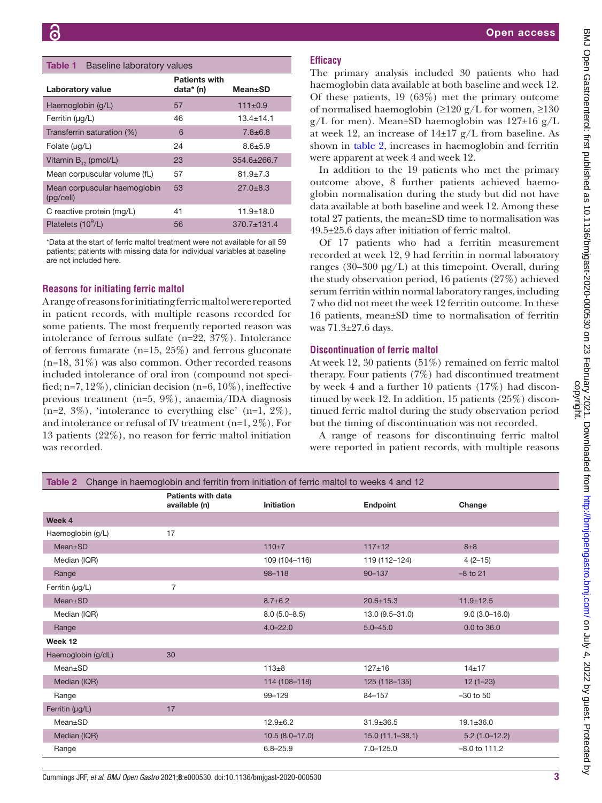#### <span id="page-2-0"></span>Table 1 Baseline laboratory values

| Laboratory value                          | <b>Patients with</b><br>data* (n) | <b>Mean</b> ±SD   |
|-------------------------------------------|-----------------------------------|-------------------|
| Haemoglobin (g/L)                         | 57                                | $111 \pm 0.9$     |
| Ferritin $(\mu g/L)$                      | 46                                | $13.4 + 14.1$     |
| Transferrin saturation (%)                | 6                                 | $7.8 \pm 6.8$     |
| Folate $(\mu q/L)$                        | 24                                | $8.6 + 5.9$       |
| Vitamin $B_{12}$ (pmol/L)                 | 23                                | $354.6 \pm 266.7$ |
| Mean corpuscular volume (fL)              | 57                                | $81.9 + 7.3$      |
| Mean corpuscular haemoglobin<br>(pg/cell) | 53                                | $27.0 + 8.3$      |
| C reactive protein (mg/L)                 | 41                                | $11.9 + 18.0$     |
| Platelets (10 <sup>9</sup> /L)            | 56                                | $370.7 \pm 131.4$ |

\*Data at the start of ferric maltol treatment were not available for all 59 patients; patients with missing data for individual variables at baseline are not included here.

#### **Reasons for initiating ferric maltol**

A range of reasons for initiating ferric maltol were reported in patient records, with multiple reasons recorded for some patients. The most frequently reported reason was intolerance of ferrous sulfate (n=22, 37%). Intolerance of ferrous fumarate (n=15, 25%) and ferrous gluconate (n=18, 31%) was also common. Other recorded reasons included intolerance of oral iron (compound not specified; n=7, 12%), clinician decision (n=6,  $10\%$ ), ineffective previous treatment (n=5, 9%), anaemia/IDA diagnosis  $(n=2, 3\%)$ , 'intolerance to everything else'  $(n=1, 2\%)$ , and intolerance or refusal of IV treatment (n=1, 2%). For 13 patients (22%), no reason for ferric maltol initiation was recorded.

## Open access

## **Efficacy**

The primary analysis included 30 patients who had haemoglobin data available at both baseline and week 12. Of these patients, 19 (63%) met the primary outcome of normalised haemoglobin ( $\geq$ 120 g/L for women,  $\geq$ 130  $g/L$  for men). Mean±SD haemoglobin was 127±16  $g/L$ at week 12, an increase of  $14\pm 17$  g/L from baseline. As shown in [table](#page-2-1) 2, increases in haemoglobin and ferritin were apparent at week 4 and week 12.

In addition to the 19 patients who met the primary outcome above, 8 further patients achieved haemoglobin normalisation during the study but did not have data available at both baseline and week 12. Among these total 27 patients, the mean±SD time to normalisation was 49.5±25.6 days after initiation of ferric maltol.

Of 17 patients who had a ferritin measurement recorded at week 12, 9 had ferritin in normal laboratory ranges (30–300  $\mu$ g/L) at this timepoint. Overall, during the study observation period, 16 patients (27%) achieved serum ferritin within normal laboratory ranges, including 7 who did not meet the week 12 ferritin outcome. In these 16 patients, mean±SD time to normalisation of ferritin was 71.3±27.6 days.

#### **Discontinuation of ferric maltol**

At week 12, 30 patients (51%) remained on ferric maltol therapy. Four patients (7%) had discontinued treatment by week 4 and a further 10 patients (17%) had discontinued by week 12. In addition, 15 patients (25%) discontinued ferric maltol during the study observation period but the timing of discontinuation was not recorded.

A range of reasons for discontinuing ferric maltol were reported in patient records, with multiple reasons

<span id="page-2-1"></span>

| Change in haemoglobin and ferritin from initiation of ferric maltol to weeks 4 and 12<br>Table 2 |                                     |                   |                     |                 |  |  |
|--------------------------------------------------------------------------------------------------|-------------------------------------|-------------------|---------------------|-----------------|--|--|
|                                                                                                  | Patients with data<br>available (n) | <b>Initiation</b> | Endpoint            | Change          |  |  |
| Week 4                                                                                           |                                     |                   |                     |                 |  |  |
| Haemoglobin (g/L)                                                                                | 17                                  |                   |                     |                 |  |  |
| Mean±SD                                                                                          |                                     | $110+7$           | $117+12$            | $8\pm8$         |  |  |
| Median (IQR)                                                                                     |                                     | 109 (104-116)     | 119 (112-124)       | $4(2-15)$       |  |  |
| Range                                                                                            |                                     | $98 - 118$        | $90 - 137$          | $-8$ to 21      |  |  |
| Ferritin (µg/L)                                                                                  | $\overline{7}$                      |                   |                     |                 |  |  |
| Mean±SD                                                                                          |                                     | $8.7 \pm 6.2$     | $20.6 \pm 15.3$     | $11.9 \pm 12.5$ |  |  |
| Median (IQR)                                                                                     |                                     | $8.0(5.0 - 8.5)$  | 13.0 (9.5-31.0)     | $9.0(3.0-16.0)$ |  |  |
| Range                                                                                            |                                     | $4.0 - 22.0$      | $5.0 - 45.0$        | 0.0 to 36.0     |  |  |
| Week 12                                                                                          |                                     |                   |                     |                 |  |  |
| Haemoglobin (g/dL)                                                                               | 30                                  |                   |                     |                 |  |  |
| $Mean \pm SD$                                                                                    |                                     | $113 + 8$         | $127 + 16$          | $14 + 17$       |  |  |
| Median (IQR)                                                                                     |                                     | 114 (108-118)     | 125 (118-135)       | $12(1-23)$      |  |  |
| Range                                                                                            |                                     | 99-129            | 84-157              | $-30$ to $50$   |  |  |
| Ferritin (µg/L)                                                                                  | 17                                  |                   |                     |                 |  |  |
| Mean±SD                                                                                          |                                     | $12.9 + 6.2$      | $31.9 \pm 36.5$     | $19.1 \pm 36.0$ |  |  |
| Median (IQR)                                                                                     |                                     | $10.5(8.0-17.0)$  | $15.0(11.1 - 38.1)$ | $5.2(1.0-12.2)$ |  |  |
| Range                                                                                            |                                     | $6.8 - 25.9$      | $7.0 - 125.0$       | $-8.0$ to 111.2 |  |  |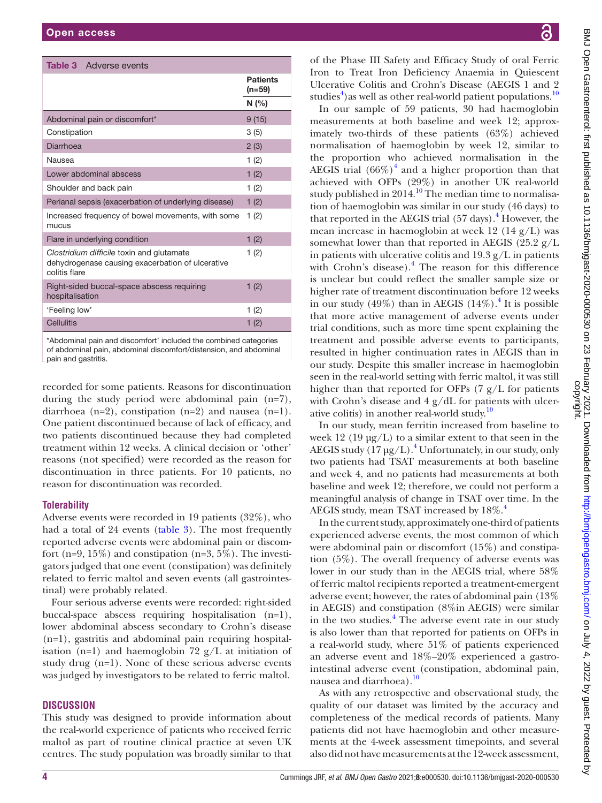<span id="page-3-0"></span>

| <b>Table 3</b> Adverse events                                                                                  |                             |
|----------------------------------------------------------------------------------------------------------------|-----------------------------|
|                                                                                                                | <b>Patients</b><br>$(n=59)$ |
|                                                                                                                | N(% )                       |
| Abdominal pain or discomfort*                                                                                  | 9(15)                       |
| Constipation                                                                                                   | 3(5)                        |
| Diarrhoea                                                                                                      | 2(3)                        |
| Nausea                                                                                                         | 1(2)                        |
| Lower abdominal abscess                                                                                        | 1(2)                        |
| Shoulder and back pain                                                                                         | 1(2)                        |
| Perianal sepsis (exacerbation of underlying disease)                                                           | 1(2)                        |
| Increased frequency of bowel movements, with some<br>mucus                                                     | 1(2)                        |
| Flare in underlying condition                                                                                  | 1(2)                        |
| Clostridium difficile toxin and glutamate<br>dehydrogenase causing exacerbation of ulcerative<br>colitis flare | 1(2)                        |
| Right-sided buccal-space abscess requiring<br>hospitalisation                                                  | 1(2)                        |
| 'Feeling low'                                                                                                  | 1(2)                        |
| Cellulitis                                                                                                     | 1(2)                        |
|                                                                                                                |                             |

\*Abdominal pain and discomfort' included the combined categories of abdominal pain, abdominal discomfort/distension, and abdominal pain and gastritis.

recorded for some patients. Reasons for discontinuation during the study period were abdominal pain (n=7), diarrhoea  $(n=2)$ , constipation  $(n=2)$  and nausea  $(n=1)$ . One patient discontinued because of lack of efficacy, and two patients discontinued because they had completed treatment within 12 weeks. A clinical decision or 'other' reasons (not specified) were recorded as the reason for discontinuation in three patients. For 10 patients, no reason for discontinuation was recorded.

# **Tolerability**

Adverse events were recorded in 19 patients (32%), who had a total of 24 events [\(table](#page-3-0) 3). The most frequently reported adverse events were abdominal pain or discomfort (n=9, 15%) and constipation (n=3, 5%). The investigators judged that one event (constipation) was definitely related to ferric maltol and seven events (all gastrointestinal) were probably related.

Four serious adverse events were recorded: right-sided buccal-space abscess requiring hospitalisation (n=1), lower abdominal abscess secondary to Crohn's disease (n=1), gastritis and abdominal pain requiring hospitalisation (n=1) and haemoglobin 72  $g/L$  at initiation of study drug (n=1). None of these serious adverse events was judged by investigators to be related to ferric maltol.

# **DISCUSSION**

This study was designed to provide information about the real-world experience of patients who received ferric maltol as part of routine clinical practice at seven UK centres. The study population was broadly similar to that

BMJ Open Gastroenterol: first published as 10.1136/bmigast-2020-000530 on 23 February 2021. Downloaded from http://bmjopengastro.bmj.com/ on July 4, 2022 by guest. Protected<br>copyright. BMJ Open Gastroenterol: first published as 10.1136/bmjgast-2020-000530 on 23 February 2021 - Downloaded from Http://bmjopengastro.bmj.com/ on July 4, 2022 by guest. Protected by ्र

of the Phase III Safety and Efficacy Study of oral Ferric Iron to Treat Iron Deficiency Anaemia in Quiescent Ulcerative Colitis and Crohn's Disease (AEGIS 1 and 2 studies<sup>[4](#page-4-4)</sup>) as well as other real-world patient populations.<sup>10</sup>

In our sample of 59 patients, 30 had haemoglobin measurements at both baseline and week 12; approximately two-thirds of these patients (63%) achieved normalisation of haemoglobin by week 12, similar to the proportion who achieved normalisation in the AEGIS trial  $(66\%)^4$  $(66\%)^4$  and a higher proportion than that achieved with OFPs (29%) in another UK real-world study published in  $2014$ .<sup>10</sup> The median time to normalisation of haemoglobin was similar in our study (46 days) to that reported in the AEGIS trial (57 days).<sup>4</sup> However, the mean increase in haemoglobin at week 12 (14 g/L) was somewhat lower than that reported in AEGIS (25.2  $g/L$ ) in patients with ulcerative colitis and  $19.3 \text{ g/L}$  in patients with Crohn's disease).<sup>[4](#page-4-4)</sup> The reason for this difference is unclear but could reflect the smaller sample size or higher rate of treatment discontinuation before 12 weeks in our study  $(49\%)$  $(49\%)$  $(49\%)$  than in AEGIS  $(14\%)$ .<sup>4</sup> It is possible that more active management of adverse events under trial conditions, such as more time spent explaining the treatment and possible adverse events to participants, resulted in higher continuation rates in AEGIS than in our study. Despite this smaller increase in haemoglobin seen in the real-world setting with ferric maltol, it was still higher than that reported for OFPs  $(7 g/L)$  for patients with Crohn's disease and 4 g/dL for patients with ulcer-ative colitis) in another real-world study.<sup>[10](#page-4-6)</sup>

In our study, mean ferritin increased from baseline to week  $12 \left(19 \text{ µg/L}\right)$  to a similar extent to that seen in the AEGIS study  $(17 \,\mathrm{\upmu g/L})$ .<sup>4</sup> Unfortunately, in our study, only two patients had TSAT measurements at both baseline and week 4, and no patients had measurements at both baseline and week 12; therefore, we could not perform a meaningful analysis of change in TSAT over time. In the AEGIS study, mean TSAT increased by  $18\%$ .<sup>4</sup>

In the current study, approximately one-third of patients experienced adverse events, the most common of which were abdominal pain or discomfort (15%) and constipation (5%). The overall frequency of adverse events was lower in our study than in the AEGIS trial, where 58% of ferric maltol recipients reported a treatment-emergent adverse event; however, the rates of abdominal pain (13% in AEGIS) and constipation (8%in AEGIS) were similar in the two studies.<sup>[4](#page-4-4)</sup> The adverse event rate in our study is also lower than that reported for patients on OFPs in a real-world study, where 51% of patients experienced an adverse event and 18%–20% experienced a gastrointestinal adverse event (constipation, abdominal pain, nausea and diarrhoea).<sup>[10](#page-4-6)</sup>

As with any retrospective and observational study, the quality of our dataset was limited by the accuracy and completeness of the medical records of patients. Many patients did not have haemoglobin and other measurements at the 4-week assessment timepoints, and several also did not have measurements at the 12-week assessment,